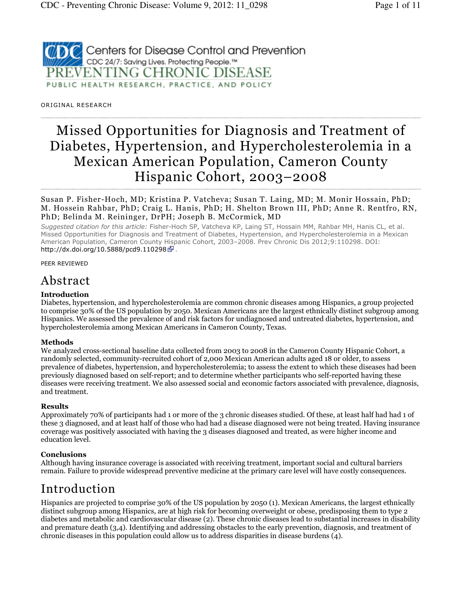

OR IGINAL RESEARCH

# Missed Opportunities for Diagnosis and Treatment of Diabetes, Hypertension, and Hypercholesterolemia in a Mexican American Population, Cameron County Hispanic Cohort, 2003–2008

Susan P. Fisher-Hoch, MD; Kristina P. Vatcheva; Susan T. Laing, MD; M. Monir Hossain, PhD; M. Hossein Rahbar, PhD; Craig L. Hanis, PhD; H. Shelton Brown III, PhD; Anne R. Rentfro, RN, PhD; Belinda M. Reininger, DrPH; Joseph B. McCormick, MD

Suggested citation for this article: Fisher-Hoch SP, Vatcheva KP, Laing ST, Hossain MM, Rahbar MH, Hanis CL, et al. Missed Opportunities for Diagnosis and Treatment of Diabetes, Hypertension, and Hypercholesterolemia in a Mexican American Population, Cameron County Hispanic Cohort, 2003–2008. Prev Chronic Dis 2012;9:110298. DOI: http://dx.doi.org/10.5888/pcd9.110298 ...

PEER REVIEWED

## Abstract

#### Introduction

Diabetes, hypertension, and hypercholesterolemia are common chronic diseases among Hispanics, a group projected to comprise 30% of the US population by 2050. Mexican Americans are the largest ethnically distinct subgroup among Hispanics. We assessed the prevalence of and risk factors for undiagnosed and untreated diabetes, hypertension, and hypercholesterolemia among Mexican Americans in Cameron County, Texas.

#### Methods

We analyzed cross-sectional baseline data collected from 2003 to 2008 in the Cameron County Hispanic Cohort, a randomly selected, community-recruited cohort of 2,000 Mexican American adults aged 18 or older, to assess prevalence of diabetes, hypertension, and hypercholesterolemia; to assess the extent to which these diseases had been previously diagnosed based on self-report; and to determine whether participants who self-reported having these diseases were receiving treatment. We also assessed social and economic factors associated with prevalence, diagnosis, and treatment.

#### Results

Approximately 70% of participants had 1 or more of the 3 chronic diseases studied. Of these, at least half had had 1 of these 3 diagnosed, and at least half of those who had had a disease diagnosed were not being treated. Having insurance coverage was positively associated with having the 3 diseases diagnosed and treated, as were higher income and education level.

#### **Conclusions**

Although having insurance coverage is associated with receiving treatment, important social and cultural barriers remain. Failure to provide widespread preventive medicine at the primary care level will have costly consequences.

## Introduction

Hispanics are projected to comprise 30% of the US population by 2050 (1). Mexican Americans, the largest ethnically distinct subgroup among Hispanics, are at high risk for becoming overweight or obese, predisposing them to type 2 diabetes and metabolic and cardiovascular disease (2). These chronic diseases lead to substantial increases in disability and premature death (3,4). Identifying and addressing obstacles to the early prevention, diagnosis, and treatment of chronic diseases in this population could allow us to address disparities in disease burdens (4).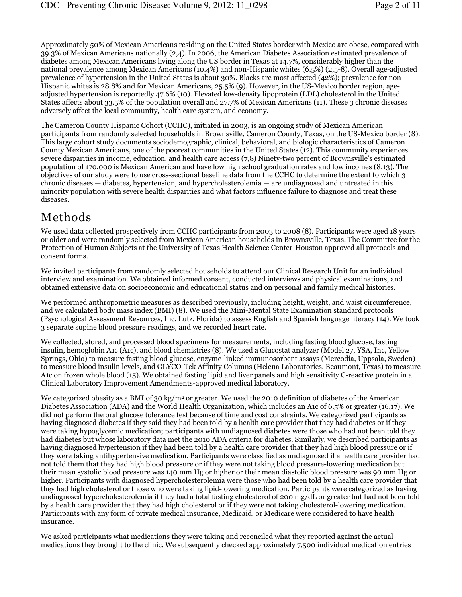Approximately 50% of Mexican Americans residing on the United States border with Mexico are obese, compared with 39.3% of Mexican Americans nationally (2,4). In 2006, the American Diabetes Association estimated prevalence of diabetes among Mexican Americans living along the US border in Texas at 14.7%, considerably higher than the national prevalence among Mexican Americans (10.4%) and non-Hispanic whites (6.5%) (2,5-8). Overall age-adjusted prevalence of hypertension in the United States is about 30%. Blacks are most affected (42%); prevalence for non-Hispanic whites is 28.8% and for Mexican Americans, 25.5% (9). However, in the US-Mexico border region, ageadjusted hypertension is reportedly 47.6% (10). Elevated low-density lipoprotein (LDL) cholesterol in the United States affects about 33.5% of the population overall and 27.7% of Mexican Americans (11). These 3 chronic diseases adversely affect the local community, health care system, and economy.

The Cameron County Hispanic Cohort (CCHC), initiated in 2003, is an ongoing study of Mexican American participants from randomly selected households in Brownsville, Cameron County, Texas, on the US-Mexico border (8). This large cohort study documents sociodemographic, clinical, behavioral, and biologic characteristics of Cameron County Mexican Americans, one of the poorest communities in the United States (12). This community experiences severe disparities in income, education, and health care access (7,8) Ninety-two percent of Brownsville's estimated population of 170,000 is Mexican American and have low high school graduation rates and low incomes (8,13). The objectives of our study were to use cross-sectional baseline data from the CCHC to determine the extent to which 3 chronic diseases — diabetes, hypertension, and hypercholesterolemia — are undiagnosed and untreated in this minority population with severe health disparities and what factors influence failure to diagnose and treat these diseases.

### Methods

We used data collected prospectively from CCHC participants from 2003 to 2008 (8). Participants were aged 18 years or older and were randomly selected from Mexican American households in Brownsville, Texas. The Committee for the Protection of Human Subjects at the University of Texas Health Science Center-Houston approved all protocols and consent forms.

We invited participants from randomly selected households to attend our Clinical Research Unit for an individual interview and examination. We obtained informed consent, conducted interviews and physical examinations, and obtained extensive data on socioeconomic and educational status and on personal and family medical histories.

We performed anthropometric measures as described previously, including height, weight, and waist circumference, and we calculated body mass index (BMI) (8). We used the Mini-Mental State Examination standard protocols (Psychological Assessment Resources, Inc, Lutz, Florida) to assess English and Spanish language literacy (14). We took 3 separate supine blood pressure readings, and we recorded heart rate.

We collected, stored, and processed blood specimens for measurements, including fasting blood glucose, fasting insulin, hemoglobin A1c (A1c), and blood chemistries (8). We used a Glucostat analyzer (Model 27, YSA, Inc, Yellow Springs, Ohio) to measure fasting blood glucose, enzyme-linked immunosorbent assays (Mercodia, Uppsala, Sweden) to measure blood insulin levels, and GLYCO-Tek Affinity Columns (Helena Laboratories, Beaumont, Texas) to measure A1c on frozen whole blood (15). We obtained fasting lipid and liver panels and high sensitivity C-reactive protein in a Clinical Laboratory Improvement Amendments-approved medical laboratory.

We categorized obesity as a BMI of 30 kg/m $^2$  or greater. We used the 2010 definition of diabetes of the American Diabetes Association (ADA) and the World Health Organization, which includes an A1c of 6.5% or greater (16,17). We did not perform the oral glucose tolerance test because of time and cost constraints. We categorized participants as having diagnosed diabetes if they said they had been told by a health care provider that they had diabetes or if they were taking hypoglycemic medication; participants with undiagnosed diabetes were those who had not been told they had diabetes but whose laboratory data met the 2010 ADA criteria for diabetes. Similarly, we described participants as having diagnosed hypertension if they had been told by a health care provider that they had high blood pressure or if they were taking antihypertensive medication. Participants were classified as undiagnosed if a health care provider had not told them that they had high blood pressure or if they were not taking blood pressure-lowering medication but their mean systolic blood pressure was 140 mm Hg or higher or their mean diastolic blood pressure was 90 mm Hg or higher. Participants with diagnosed hypercholesterolemia were those who had been told by a health care provider that they had high cholesterol or those who were taking lipid-lowering medication. Participants were categorized as having undiagnosed hypercholesterolemia if they had a total fasting cholesterol of 200 mg/dL or greater but had not been told by a health care provider that they had high cholesterol or if they were not taking cholesterol-lowering medication. Participants with any form of private medical insurance, Medicaid, or Medicare were considered to have health insurance.

We asked participants what medications they were taking and reconciled what they reported against the actual medications they brought to the clinic. We subsequently checked approximately 7,500 individual medication entries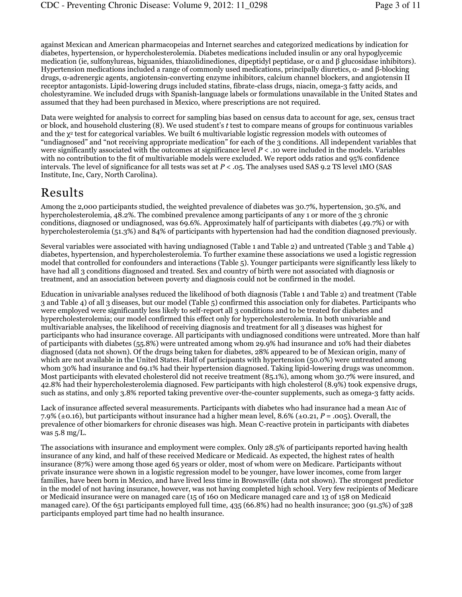against Mexican and American pharmacopeias and Internet searches and categorized medications by indication for diabetes, hypertension, or hypercholesterolemia. Diabetes medications included insulin or any oral hypoglycemic medication (ie, sulfonylureas, biguanides, thiazolidinediones, dipeptidyl peptidase, or α and β glucosidase inhibitors). Hypertension medications included a range of commonly used medications, principally diuretics, α- and β-blocking drugs, α-adrenergic agents, angiotensin-converting enzyme inhibitors, calcium channel blockers, and angiotensin II receptor antagonists. Lipid-lowering drugs included statins, fibrate-class drugs, niacin, omega-3 fatty acids, and cholestyramine. We included drugs with Spanish-language labels or formulations unavailable in the United States and assumed that they had been purchased in Mexico, where prescriptions are not required.

Data were weighted for analysis to correct for sampling bias based on census data to account for age, sex, census tract or block, and household clustering (8). We used student's t test to compare means of groups for continuous variables and the  $\chi^2$  test for categorical variables. We built 6 multivariable logistic regression models with outcomes of "undiagnosed" and "not receiving appropriate medication" for each of the 3 conditions. All independent variables that were significantly associated with the outcomes at significance level  $P < 0.10$  were included in the models. Variables with no contribution to the fit of multivariable models were excluded. We report odds ratios and 95% confidence intervals. The level of significance for all tests was set at  $P < 0.05$ . The analyses used SAS 9.2 TS level 1MO (SAS Institute, Inc, Cary, North Carolina).

### Results

Among the 2,000 participants studied, the weighted prevalence of diabetes was 30.7%, hypertension, 30.5%, and hypercholesterolemia, 48.2%. The combined prevalence among participants of any 1 or more of the 3 chronic conditions, diagnosed or undiagnosed, was 69.6%. Approximately half of participants with diabetes (49.7%) or with hypercholesterolemia (51.3%) and 84% of participants with hypertension had had the condition diagnosed previously.

Several variables were associated with having undiagnosed (Table 1 and Table 2) and untreated (Table 3 and Table 4) diabetes, hypertension, and hypercholesterolemia. To further examine these associations we used a logistic regression model that controlled for confounders and interactions (Table 5). Younger participants were significantly less likely to have had all 3 conditions diagnosed and treated. Sex and country of birth were not associated with diagnosis or treatment, and an association between poverty and diagnosis could not be confirmed in the model.

Education in univariable analyses reduced the likelihood of both diagnosis (Table 1 and Table 2) and treatment (Table 3 and Table 4) of all 3 diseases, but our model (Table 5) confirmed this association only for diabetes. Participants who were employed were significantly less likely to self-report all 3 conditions and to be treated for diabetes and hypercholesterolemia; our model confirmed this effect only for hypercholesterolemia. In both univariable and multivariable analyses, the likelihood of receiving diagnosis and treatment for all 3 diseases was highest for participants who had insurance coverage. All participants with undiagnosed conditions were untreated. More than half of participants with diabetes (55.8%) were untreated among whom 29.9% had insurance and 10% had their diabetes diagnosed (data not shown). Of the drugs being taken for diabetes, 28% appeared to be of Mexican origin, many of which are not available in the United States. Half of participants with hypertension (50.0%) were untreated among whom 30% had insurance and 69.1% had their hypertension diagnosed. Taking lipid-lowering drugs was uncommon. Most participants with elevated cholesterol did not receive treatment (85.1%), among whom 30.7% were insured, and 42.8% had their hypercholesterolemia diagnosed. Few participants with high cholesterol (8.9%) took expensive drugs, such as statins, and only 3.8% reported taking preventive over-the-counter supplements, such as omega-3 fatty acids.

Lack of insurance affected several measurements. Participants with diabetes who had insurance had a mean A1c of 7.9% ( $\pm$ 0.16), but participants without insurance had a higher mean level, 8.6% ( $\pm$ 0.21, P = .005). Overall, the prevalence of other biomarkers for chronic diseases was high. Mean C-reactive protein in participants with diabetes was 5.8 mg/L.

The associations with insurance and employment were complex. Only 28.5% of participants reported having health insurance of any kind, and half of these received Medicare or Medicaid. As expected, the highest rates of health insurance (87%) were among those aged 65 years or older, most of whom were on Medicare. Participants without private insurance were shown in a logistic regression model to be younger, have lower incomes, come from larger families, have been born in Mexico, and have lived less time in Brownsville (data not shown). The strongest predictor in the model of not having insurance, however, was not having completed high school. Very few recipients of Medicare or Medicaid insurance were on managed care (15 of 160 on Medicare managed care and 13 of 158 on Medicaid managed care). Of the 651 participants employed full time, 435 (66.8%) had no health insurance; 300 (91.5%) of 328 participants employed part time had no health insurance.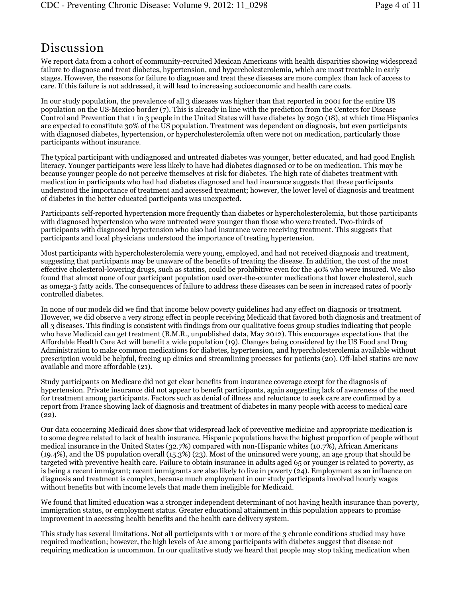## Discussion

We report data from a cohort of community-recruited Mexican Americans with health disparities showing widespread failure to diagnose and treat diabetes, hypertension, and hypercholesterolemia, which are most treatable in early stages. However, the reasons for failure to diagnose and treat these diseases are more complex than lack of access to care. If this failure is not addressed, it will lead to increasing socioeconomic and health care costs.

In our study population, the prevalence of all 3 diseases was higher than that reported in 2001 for the entire US population on the US-Mexico border (7). This is already in line with the prediction from the Centers for Disease Control and Prevention that 1 in 3 people in the United States will have diabetes by 2050 (18), at which time Hispanics are expected to constitute 30% of the US population. Treatment was dependent on diagnosis, but even participants with diagnosed diabetes, hypertension, or hypercholesterolemia often were not on medication, particularly those participants without insurance.

The typical participant with undiagnosed and untreated diabetes was younger, better educated, and had good English literacy. Younger participants were less likely to have had diabetes diagnosed or to be on medication. This may be because younger people do not perceive themselves at risk for diabetes. The high rate of diabetes treatment with medication in participants who had had diabetes diagnosed and had insurance suggests that these participants understood the importance of treatment and accessed treatment; however, the lower level of diagnosis and treatment of diabetes in the better educated participants was unexpected.

Participants self-reported hypertension more frequently than diabetes or hypercholesterolemia, but those participants with diagnosed hypertension who were untreated were younger than those who were treated. Two-thirds of participants with diagnosed hypertension who also had insurance were receiving treatment. This suggests that participants and local physicians understood the importance of treating hypertension.

Most participants with hypercholesterolemia were young, employed, and had not received diagnosis and treatment, suggesting that participants may be unaware of the benefits of treating the disease. In addition, the cost of the most effective cholesterol-lowering drugs, such as statins, could be prohibitive even for the 40% who were insured. We also found that almost none of our participant population used over-the-counter medications that lower cholesterol, such as omega-3 fatty acids. The consequences of failure to address these diseases can be seen in increased rates of poorly controlled diabetes.

In none of our models did we find that income below poverty guidelines had any effect on diagnosis or treatment. However, we did observe a very strong effect in people receiving Medicaid that favored both diagnosis and treatment of all 3 diseases. This finding is consistent with findings from our qualitative focus group studies indicating that people who have Medicaid can get treatment (B.M.R., unpublished data, May 2012). This encourages expectations that the Affordable Health Care Act will benefit a wide population (19). Changes being considered by the US Food and Drug Administration to make common medications for diabetes, hypertension, and hypercholesterolemia available without prescription would be helpful, freeing up clinics and streamlining processes for patients (20). Off-label statins are now available and more affordable (21).

Study participants on Medicare did not get clear benefits from insurance coverage except for the diagnosis of hypertension. Private insurance did not appear to benefit participants, again suggesting lack of awareness of the need for treatment among participants. Factors such as denial of illness and reluctance to seek care are confirmed by a report from France showing lack of diagnosis and treatment of diabetes in many people with access to medical care  $(22)$ .

Our data concerning Medicaid does show that widespread lack of preventive medicine and appropriate medication is to some degree related to lack of health insurance. Hispanic populations have the highest proportion of people without medical insurance in the United States (32.7%) compared with non-Hispanic whites (10.7%), African Americans (19.4%), and the US population overall (15.3%) (23). Most of the uninsured were young, an age group that should be targeted with preventive health care. Failure to obtain insurance in adults aged 65 or younger is related to poverty, as is being a recent immigrant; recent immigrants are also likely to live in poverty (24). Employment as an influence on diagnosis and treatment is complex, because much employment in our study participants involved hourly wages without benefits but with income levels that made them ineligible for Medicaid.

We found that limited education was a stronger independent determinant of not having health insurance than poverty, immigration status, or employment status. Greater educational attainment in this population appears to promise improvement in accessing health benefits and the health care delivery system.

This study has several limitations. Not all participants with 1 or more of the 3 chronic conditions studied may have required medication; however, the high levels of A1c among participants with diabetes suggest that disease not requiring medication is uncommon. In our qualitative study we heard that people may stop taking medication when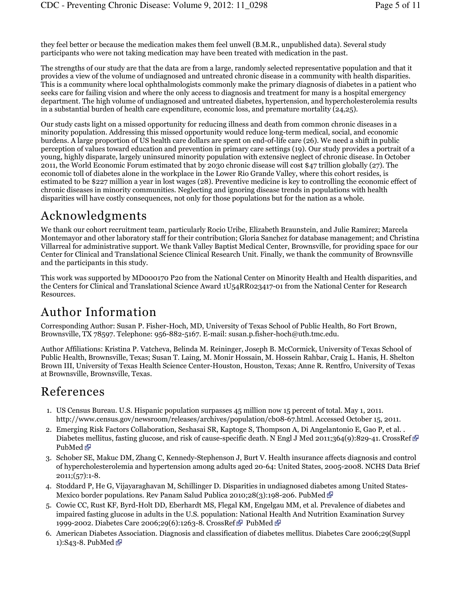they feel better or because the medication makes them feel unwell (B.M.R., unpublished data). Several study participants who were not taking medication may have been treated with medication in the past.

The strengths of our study are that the data are from a large, randomly selected representative population and that it provides a view of the volume of undiagnosed and untreated chronic disease in a community with health disparities. This is a community where local ophthalmologists commonly make the primary diagnosis of diabetes in a patient who seeks care for failing vision and where the only access to diagnosis and treatment for many is a hospital emergency department. The high volume of undiagnosed and untreated diabetes, hypertension, and hypercholesterolemia results in a substantial burden of health care expenditure, economic loss, and premature mortality (24,25).

Our study casts light on a missed opportunity for reducing illness and death from common chronic diseases in a minority population. Addressing this missed opportunity would reduce long-term medical, social, and economic burdens. A large proportion of US health care dollars are spent on end-of-life care (26). We need a shift in public perception of values toward education and prevention in primary care settings (19). Our study provides a portrait of a young, highly disparate, largely uninsured minority population with extensive neglect of chronic disease. In October 2011, the World Economic Forum estimated that by 2030 chronic disease will cost \$47 trillion globally (27). The economic toll of diabetes alone in the workplace in the Lower Rio Grande Valley, where this cohort resides, is estimated to be \$227 million a year in lost wages (28). Preventive medicine is key to controlling the economic effect of chronic diseases in minority communities. Neglecting and ignoring disease trends in populations with health disparities will have costly consequences, not only for those populations but for the nation as a whole.

# Acknowledgments

We thank our cohort recruitment team, particularly Rocio Uribe, Elizabeth Braunstein, and Julie Ramirez; Marcela Montemayor and other laboratory staff for their contribution; Gloria Sanchez for database management; and Christina Villarreal for administrative support. We thank Valley Baptist Medical Center, Brownsville, for providing space for our Center for Clinical and Translational Science Clinical Research Unit. Finally, we thank the community of Brownsville and the participants in this study.

This work was supported by MD000170 P20 from the National Center on Minority Health and Health disparities, and the Centers for Clinical and Translational Science Award 1U54RR023417-01 from the National Center for Research Resources.

# Author Information

Corresponding Author: Susan P. Fisher-Hoch, MD, University of Texas School of Public Health, 80 Fort Brown, Brownsville, TX 78597. Telephone: 956-882-5167. E-mail: susan.p.fisher-hoch@uth.tmc.edu.

Author Affiliations: Kristina P. Vatcheva, Belinda M. Reininger, Joseph B. McCormick, University of Texas School of Public Health, Brownsville, Texas; Susan T. Laing, M. Monir Hossain, M. Hossein Rahbar, Craig L. Hanis, H. Shelton Brown III, University of Texas Health Science Center-Houston, Houston, Texas; Anne R. Rentfro, University of Texas at Brownsville, Brownsville, Texas.

## References

- 1. US Census Bureau. U.S. Hispanic population surpasses 45 million now 15 percent of total. May 1, 2011. http://www.census.gov/newsroom/releases/archives/population/cb08-67.html. Accessed October 15, 2011.
- 2. Emerging Risk Factors Collaboration, Seshasai SR, Kaptoge S, Thompson A, Di Angelantonio E, Gao P, et al. . Diabetes mellitus, fasting glucose, and risk of cause-specific death. N Engl J Med 2011;364(9):829-41. CrossRef PubMed **图**
- 3. Schober SE, Makuc DM, Zhang C, Kennedy-Stephenson J, Burt V. Health insurance affects diagnosis and control of hypercholesterolemia and hypertension among adults aged 20-64: United States, 2005-2008. NCHS Data Brief  $2011$ ; $(57)$ :1-8.
- 4. Stoddard P, He G, Vijayaraghavan M, Schillinger D. Disparities in undiagnosed diabetes among United States-Mexico border populations. Rev Panam Salud Publica 2010;28(3):198-206. PubMed  $\bar{E}$
- 5. Cowie CC, Rust KF, Byrd-Holt DD, Eberhardt MS, Flegal KM, Engelgau MM, et al. Prevalence of diabetes and impaired fasting glucose in adults in the U.S. population: National Health And Nutrition Examination Survey 1999-2002. Diabetes Care 2006;29(6):1263-8. CrossRef & PubMed &
- American Diabetes Association. Diagnosis and classification of diabetes mellitus. Diabetes Care 2006;29(Suppl 6. 1):S43-8. PubMed $\bar{C}$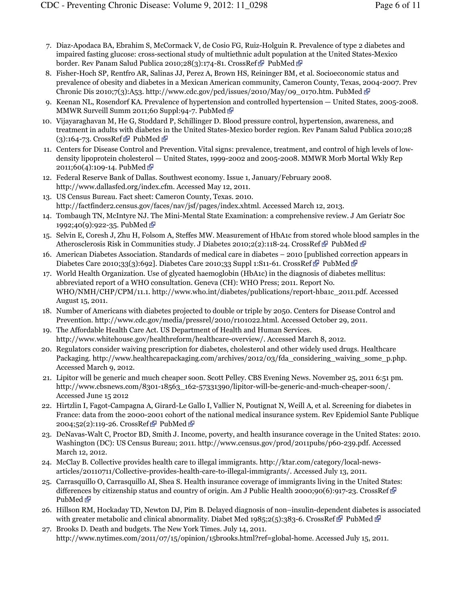- 7. Diaz-Apodaca BA, Ebrahim S, McCormack V, de Cosio FG, Ruiz-Holguin R. Prevalence of type 2 diabetes and impaired fasting glucose: cross-sectional study of multiethnic adult population at the United States-Mexico border. Rev Panam Salud Publica 2010;28(3):174-81. CrossRef PubMed P
- Fisher-Hoch SP, Rentfro AR, Salinas JJ, Perez A, Brown HS, Reininger BM, et al. Socioeconomic status and 8. prevalence of obesity and diabetes in a Mexican American community, Cameron County, Texas, 2004-2007. Prev Chronic Dis 2010;7(3):A53. http://www.cdc.gov/pcd/issues/2010/May/09\_0170.htm. PubMed  $\Phi$
- 9. Keenan NL, Rosendorf KA. Prevalence of hypertension and controlled hypertension United States, 2005-2008. MMWR Surveill Summ 2011;60 Suppl:94-7. PubMed  $\bar{C}$
- 10. Vijayaraghavan M, He G, Stoddard P, Schillinger D. Blood pressure control, hypertension, awareness, and treatment in adults with diabetes in the United States-Mexico border region. Rev Panam Salud Publica 2010;28  $(3):164-73.$  CrossRef  $\mathbb{F}$  PubMed  $\mathbb{F}$
- Centers for Disease Control and Prevention. Vital signs: prevalence, treatment, and control of high levels of low-11. density lipoprotein cholesterol — United States, 1999-2002 and 2005-2008. MMWR Morb Mortal Wkly Rep 2011;60(4):109-14. PubMed P
- Federal Reserve Bank of Dallas. Southwest economy. Issue 1, January/February 2008. 12. http://www.dallasfed.org/index.cfm. Accessed May 12, 2011.
- US Census Bureau. Fact sheet: Cameron County, Texas. 2010. 13. http://factfinder2.census.gov/faces/nav/jsf/pages/index.xhtml. Accessed March 12, 2013.
- 14. Tombaugh TN, McIntyre NJ. The Mini-Mental State Examination: a comprehensive review. J Am Geriatr Soc 1992;40(9):922-35. PubMed  $\bar{C}$
- 15. Selvin E, Coresh J, Zhu H, Folsom A, Steffes MW. Measurement of HbA1c from stored whole blood samples in the Atherosclerosis Risk in Communities study. J Diabetes 2010;2(2):118-24. CrossRef PubMed PubMed
- 16. American Diabetes Association. Standards of medical care in diabetes 2010 [published correction appears in Diabetes Care 2010;33(3):692]. Diabetes Care 2010;33 Suppl 1:S11-61. CrossRef  $\mathbb{F}$  PubMed  $\mathbb{F}$
- World Health Organization. Use of glycated haemoglobin (HbA1c) in the diagnosis of diabetes mellitus: 17. abbreviated report of a WHO consultation. Geneva (CH): WHO Press; 2011. Report No. WHO/NMH/CHP/CPM/11.1. http://www.who.int/diabetes/publications/report-hba1c\_2011.pdf. Accessed August 15, 2011.
- 18. Number of Americans with diabetes projected to double or triple by 2050. Centers for Disease Control and Prevention. http://www.cdc.gov/media/pressrel/2010/r101022.html. Accessed October 29, 2011.
- The Affordable Health Care Act. US Department of Health and Human Services. 19. http://www.whitehouse.gov/healthreform/healthcare-overview/. Accessed March 8, 2012.
- 20. Regulators consider waiving prescription for diabetes, cholesterol and other widely used drugs. Healthcare Packaging. http://www.healthcarepackaging.com/archives/2012/03/fda\_considering\_waiving\_some\_p.php. Accessed March 9, 2012.
- 21. Lipitor will be generic and much cheaper soon. Scott Pelley. CBS Evening News. November 25, 2011 6:51 pm. http://www.cbsnews.com/8301-18563\_162-57331390/lipitor-will-be-generic-and-much-cheaper-soon/. Accessed June 15 2012
- 22. Hirtzlin I, Fagot-Campagna A, Girard-Le Gallo I, Vallier N, Poutignat N, Weill A, et al. Screening for diabetes in France: data from the 2000-2001 cohort of the national medical insurance system. Rev Epidemiol Sante Publique 2004;52(2):119-26. CrossRef *PubMed PubMed*
- DeNavas-Walt C, Proctor BD, Smith J. Income, poverty, and health insurance coverage in the United States: 2010. 23. Washington (DC): US Census Bureau; 2011. http://www.census.gov/prod/2011pubs/p60-239.pdf. Accessed March 12, 2012.
- McClay B. Collective provides health care to illegal immigrants. http://ktar.com/category/local-news-24. articles/20110711/Collective-provides-health-care-to-illegal-immigrants/. Accessed July 13, 2011.
- Carrasquillo O, Carrasquillo AI, Shea S. Health insurance coverage of immigrants living in the United States: 25. differences by citizenship status and country of origin. Am J Public Health 2000;90(6):917-23. CrossRef PubMed **配**
- 26. Hillson RM, Hockaday TD, Newton DJ, Pim B. Delayed diagnosis of non–insulin-dependent diabetes is associated with greater metabolic and clinical abnormality. Diabet Med 1985;2(5):383-6. CrossRef PubMed PubMed
- 27. Brooks D. Death and budgets. The New York Times. July 14, 2011. http://www.nytimes.com/2011/07/15/opinion/15brooks.html?ref=global-home. Accessed July 15, 2011.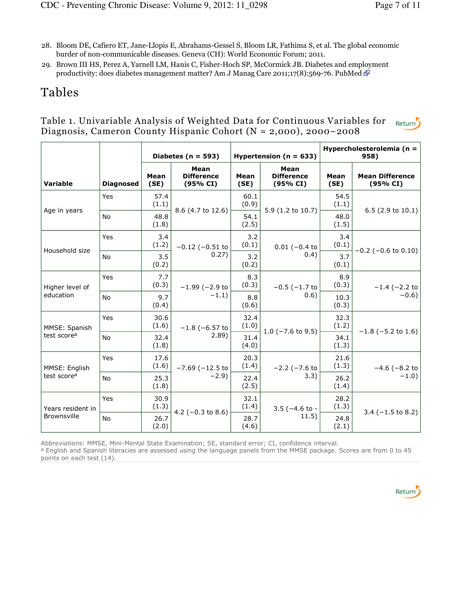- 28. Bloom DE, Cafiero ET, Jane-Llopis E, Abrahams-Gessel S, Bloom LR, Fathima S, et al. The global economic burder of non-communicable diseases. Geneva (CH): World Economic Forum; 2011.
- 29. Brown III HS, Perez A, Yarnell LM, Hanis C, Fisher-Hoch SP, McCormick JB. Diabetes and employment productivity: does diabetes management matter? Am J Manag Care 2011;17(8):569-76. PubMed  $\Phi$

# Tables

#### Table 1. Univariable Analysis of Weighted Data for Continuous Variables for Return Diagnosis, Cameron County Hispanic Cohort (N = 2,000), 2000–2008

|                         |                  |               | Diabetes ( $n = 593$ )                | Hypertension ( $n = 633$ )         |                                       | Hypercholesterolemia (n =<br>958) |                                    |  |
|-------------------------|------------------|---------------|---------------------------------------|------------------------------------|---------------------------------------|-----------------------------------|------------------------------------|--|
| <b>Variable</b>         | <b>Diagnosed</b> | Mean<br>(SE)  | Mean<br><b>Difference</b><br>(95% CI) | Mean<br>(SE)                       | Mean<br><b>Difference</b><br>(95% CI) | Mean<br>(SE)                      | <b>Mean Difference</b><br>(95% CI) |  |
|                         | Yes              | 57.4<br>(1.1) |                                       | 60.1<br>(0.9)                      |                                       | 54.5<br>(1.1)                     |                                    |  |
| Age in years            | <b>No</b>        | 48.8<br>(1.8) | 8.6 (4.7 to 12.6)                     | 54.1<br>(2.5)                      | 5.9 (1.2 to 10.7)                     | 48.0<br>(1.5)                     | $6.5(2.9 \text{ to } 10.1)$        |  |
| Household size          | Yes              | 3.4<br>(1.2)  | $-0.12$ ( $-0.51$ to                  | 3.2<br>(0.1)                       | $0.01 (-0.4 to$                       | 3.4<br>(0.1)                      | $-0.2$ ( $-0.6$ to 0.10)           |  |
|                         | <b>No</b>        | 3.5<br>(0.2)  | 0.27)                                 | 3.2<br>(0.2)                       | 0.4)                                  | 3.7<br>(0.1)                      |                                    |  |
| Higher level of         | Yes              | 7.7<br>(0.3)  | $-1.99$ ( $-2.9$ to                   | 8.3<br>(0.3)<br>$-0.5$ ( $-1.7$ to |                                       | 8.9<br>(0.3)                      | $-1.4$ ( $-2.2$ to                 |  |
| education               | <b>No</b>        | 9.7<br>(0.4)  | $-1.1)$                               | 8.8<br>(0.6)                       | 0.6)                                  | 10.3<br>(0.3)                     | $-0.6$ )                           |  |
| MMSE: Spanish           | Yes              | 30.6<br>(1.6) | $-1.8$ ( $-6.57$ to                   | 32.4<br>(1.0)                      |                                       | 32.3<br>(1.2)                     |                                    |  |
| test score <sup>a</sup> | <b>No</b>        | 32.4<br>(1.8) | 2.89)                                 | 31.4<br>(4.0)                      | 1.0 $(-7.6 \text{ to } 9.5)$          | 34.1<br>(1.3)                     | $-1.8$ (-5.2 to 1.6)               |  |
| MMSE: English           | Yes              | 17.6<br>(1.6) | $-7.69$ ( $-12.5$ to                  | 20.3<br>(1.4)                      | $-2.2$ ( $-7.6$ to                    | 21.6<br>(1.3)                     | $-4.6$ ( $-8.2$ to<br>$-1.0$       |  |
| test score <sup>a</sup> | <b>No</b>        | 25.3<br>(1.8) | $-2.9$                                | 22.4<br>(2.5)                      | 3.3)                                  | 26.2<br>(1.4)                     |                                    |  |
| Years resident in       | <b>Yes</b>       | 30.9<br>(1.3) |                                       | 32.1<br>(1.4)                      | $3.5$ (-4.6 to -                      | 28.2<br>(1.3)                     |                                    |  |
| <b>Brownsville</b>      | <b>No</b>        | 26.7<br>(2.0) | 4.2 $(-0.3$ to 8.6)                   | 28.7<br>(4.6)                      | 11.5)                                 | 24.8<br>(2.1)                     | $3.4$ (-1.5 to 8.2)                |  |

Abbreviations: MMSE, Mini-Mental State Examination; SE, standard error; CI, confidence interval. <sup>a</sup> English and Spanish literacies are assessed using the language panels from the MMSE package. Scores are from 0 to 45 points on each test (14).

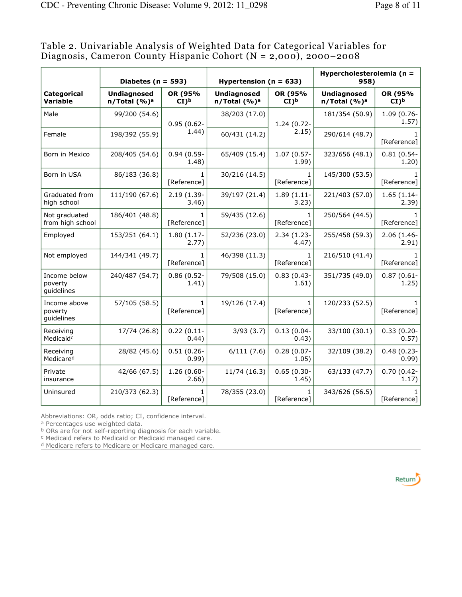|                                       | Diabetes ( $n = 593$ )                         |                              | Hypertension ( $n = 633$ )                     |                              | Hypercholesterolemia (n =<br>958)              |                            |
|---------------------------------------|------------------------------------------------|------------------------------|------------------------------------------------|------------------------------|------------------------------------------------|----------------------------|
| <b>Categorical</b><br><b>Variable</b> | <b>Undiagnosed</b><br>n/Total (%) <sup>a</sup> | OR (95%<br>$CI$ <sup>b</sup> | <b>Undiagnosed</b><br>n/Total (%) <sup>a</sup> | OR (95%<br>$CI$ <sup>b</sup> | <b>Undiagnosed</b><br>n/Total (%) <sup>a</sup> | OR (95%<br>CI <sub>b</sub> |
| Male                                  | 99/200 (54.6)                                  | $0.95(0.62 -$                | 38/203 (17.0)                                  | $1.24(0.72 -$                | 181/354 (50.9)                                 | $1.09(0.76 -$<br>1.57)     |
| Female                                | 198/392 (55.9)                                 | 1.44)                        | 60/431 (14.2)                                  | 2.15)                        | 290/614 (48.7)                                 | [Reference]                |
| Born in Mexico                        | 208/405 (54.6)                                 | $0.94(0.59 -$<br>1.48)       | 65/409 (15.4)                                  | $1.07(0.57 -$<br>1.99)       | 323/656 (48.1)                                 | $0.81(0.54 -$<br>1.20)     |
| Born in USA                           | 86/183 (36.8)                                  | [Reference]                  | 30/216 (14.5)                                  | [Reference]                  | 145/300 (53.5)                                 | [Reference]                |
| Graduated from<br>high school         | 111/190 (67.6)                                 | 2.19 (1.39-<br>3.46)         | 39/197 (21.4)                                  | $1.89(1.11 -$<br>3.23)       | 221/403 (57.0)                                 | $1.65(1.14-$<br>2.39)      |
| Not graduated<br>from high school     | 186/401 (48.8)                                 | [Reference]                  | 59/435 (12.6)                                  | [Reference]                  | 250/564 (44.5)                                 | [Reference]                |
| Employed                              | 153/251 (64.1)                                 | 1.80 (1.17-<br>2.77)         | 52/236 (23.0)                                  | $2.34(1.23 -$<br>4.47)       | 255/458 (59.3)                                 | $2.06(1.46 -$<br>2.91)     |
| Not employed                          | 144/341 (49.7)                                 | [Reference]                  | 46/398 (11.3)                                  | [Reference]                  | 216/510 (41.4)                                 | [Reference]                |
| Income below<br>poverty<br>quidelines | 240/487 (54.7)                                 | $0.86(0.52 -$<br>1.41)       | 79/508 (15.0)                                  | $0.83(0.43 -$<br>1.61)       | 351/735 (49.0)                                 | $0.87(0.61 -$<br>1.25)     |
| Income above<br>poverty<br>guidelines | 57/105 (58.5)                                  | 1<br>[Reference]             | 19/126 (17.4)                                  | 1.<br>[Reference]            | 120/233 (52.5)                                 | [Reference]                |
| Receiving<br>Medicaid <sup>c</sup>    | 17/74 (26.8)                                   | $0.22(0.11 -$<br>0.44)       | 3/93(3.7)                                      | $0.13(0.04 -$<br>0.43)       | 33/100 (30.1)                                  | $0.33(0.20 -$<br>(0.57)    |
| Receiving<br>Medicared                | 28/82 (45.6)                                   | $0.51(0.26 -$<br>0.99        | 6/111(7.6)                                     | $0.28(0.07 -$<br>1.05)       | 32/109 (38.2)                                  | $0.48(0.23 -$<br>0.99)     |
| Private<br>insurance                  | 42/66 (67.5)                                   | 1.26 (0.60-<br>2.66)         | 11/74 (16.3)                                   | $0.65(0.30 -$<br>1.45)       | 63/133 (47.7)                                  | $0.70(0.42 -$<br>1.17)     |
| Uninsured                             | 210/373 (62.3)                                 | 1.<br>[Reference]            | 78/355 (23.0)                                  | [Reference]                  | 343/626 (56.5)                                 | [Reference]                |

Table 2. Univariable Analysis of Weighted Data for Categorical Variables for Diagnosis, Cameron County Hispanic Cohort (N = 2,000), 2000–2008

Abbreviations: OR, odds ratio; CI, confidence interval.

<sup>a</sup> Percentages use weighted data.

**b** ORs are for not self-reporting diagnosis for each variable.

c Medicaid refers to Medicaid or Medicaid managed care.

<sup>d</sup> Medicare refers to Medicare or Medicare managed care.

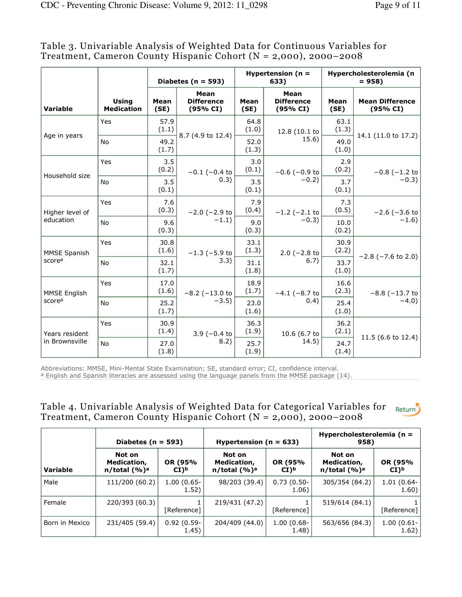|                     |                                   |               | Diabetes ( $n = 593$ )                |                                              | Hypertension ( $n =$<br>633)          | Hypercholesterolemia (n<br>$= 958$ |                                    |  |
|---------------------|-----------------------------------|---------------|---------------------------------------|----------------------------------------------|---------------------------------------|------------------------------------|------------------------------------|--|
| <b>Variable</b>     | <b>Using</b><br><b>Medication</b> | Mean<br>(SE)  | Mean<br><b>Difference</b><br>(95% CI) | Mean<br>(SE)                                 | Mean<br><b>Difference</b><br>(95% CI) | Mean<br>(SE)                       | <b>Mean Difference</b><br>(95% CI) |  |
| Age in years        | Yes                               | 57.9<br>(1.1) | 8.7 (4.9 to 12.4)                     | 64.8<br>(1.0)                                | 12.8 (10.1 to                         | 63.1<br>(1.3)                      |                                    |  |
|                     | No                                | 49.2<br>(1.7) |                                       | 52.0<br>(1.3)                                | 15.6)                                 | 49.0<br>(1.0)                      | 14.1 (11.0 to 17.2)                |  |
| Household size      | Yes                               | 3.5<br>(0.2)  | $-0.1$ ( $-0.4$ to                    | 3.0<br>(0.1)                                 | $-0.6$ ( $-0.9$ to                    | 2.9<br>(0.2)                       | $-0.8$ (-1.2 to                    |  |
|                     | <b>No</b>                         | 3.5<br>(0.1)  | 0.3)                                  | 3.5<br>(0.1)                                 | $-0.2$ )                              | 3.7<br>(0.1)                       | $-0.3$ )                           |  |
| Higher level of     | Yes                               | 7.6<br>(0.3)  | $-2.0$ ( $-2.9$ to                    | 7.9<br>(0.4)                                 | $-1.2$ ( $-2.1$ to                    | 7.3<br>(0.5)                       | $-2.6$ ( $-3.6$ to                 |  |
| education           | No                                | 9.6<br>(0.3)  | $-1.1)$                               | 9.0<br>(0.3)                                 | $-0.3$ )                              | 10.0<br>(0.2)                      | $-1.6$ )                           |  |
| <b>MMSE Spanish</b> | Yes                               | 30.8<br>(1.6) | $-1.3$ ( $-5.9$ to                    | 33.1<br>(1.3)                                | $2.0$ (-2.8 to                        | 30.9<br>(2.2)                      |                                    |  |
| scorea              | <b>No</b>                         | 32.1<br>(1.7) | 3.3)                                  | 31.1<br>(1.8)                                | 6.7)                                  | 33.7<br>(1.0)                      | $-2.8$ ( $-7.6$ to 2.0)            |  |
| MMSE English        | <b>Yes</b>                        | 17.0<br>(1.6) | $-8.2$ ( $-13.0$ to                   | 18.9<br>(1.7)                                |                                       | 16.6<br>(2.3)                      | $-8.8$ ( $-13.7$ to                |  |
| scorea              | No                                | 25.2<br>(1.7) | $-3.5)$                               | $-4.1$ ( $-8.7$ to<br>(0.4)<br>23.0<br>(1.6) |                                       | 25.4<br>(1.0)                      | $-4.0$                             |  |
| Years resident      | Yes                               | 30.9<br>(1.4) | $3.9$ (-0.4 to                        | 36.3<br>(1.9)                                | 10.6 (6.7 to                          | 36.2<br>(2.1)                      |                                    |  |
| in Brownsville      | No                                | 27.0<br>(1.8) | 8.2)                                  | 25.7<br>(1.9)                                | 14.5)                                 | 24.7<br>(1.4)                      | 11.5 (6.6 to 12.4)                 |  |

Table 3. Univariable Analysis of Weighted Data for Continuous Variables for Treatment, Cameron County Hispanic Cohort (N = 2,000), 2000–2008

Abbreviations: MMSE, Mini-Mental State Examination; SE, standard error; CI, confidence interval.

<sup>a</sup> English and Spanish literacies are assessed using the language panels from the MMSE package (14).

| Table 4. Univariable Analysis of Weighted Data for Categorical Variables for Return |  |
|-------------------------------------------------------------------------------------|--|
| Treatment, Cameron County Hispanic Cohort $(N = 2,000)$ , 2000–2008                 |  |

|                 | Diabetes ( $n = 593$ )                                   |                            | Hypertension ( $n = 633$ )                  |                                | Hypercholesterolemia (n =<br>958)           |                            |
|-----------------|----------------------------------------------------------|----------------------------|---------------------------------------------|--------------------------------|---------------------------------------------|----------------------------|
| <b>Variable</b> | Not on<br>Medication,<br>$n$ /total $(\% )$ <sup>a</sup> | OR (95%<br>CI <sub>b</sub> | Not on<br>Medication,<br>$n$ /total $(%)^a$ | OR (95%<br>$CI$ ) <sub>p</sub> | Not on<br>Medication,<br>$n$ /total $(%)^a$ | OR (95%<br>CI <sub>b</sub> |
| Male            | 111/200 (60.2)                                           | $1.00(0.65 -$<br>1.52)     | 98/203 (39.4)                               | $0.73(0.50 -$<br>1.06)         | 305/354 (84.2)                              | $1.01(0.64 -$<br>1.60)     |
| Female          | 220/393 (60.3)                                           | [Reference]                | 219/431 (47.2)                              | [Reference]                    | 519/614 (84.1)                              | [Reference]                |
| Born in Mexico  | 231/405 (59.4)                                           | $0.92(0.59 -$<br>1.45)     | 204/409 (44.0)                              | $1.00(0.68 -$<br>1.48)         | 563/656 (84.3)                              | $1.00(0.61 -$<br>1.62)     |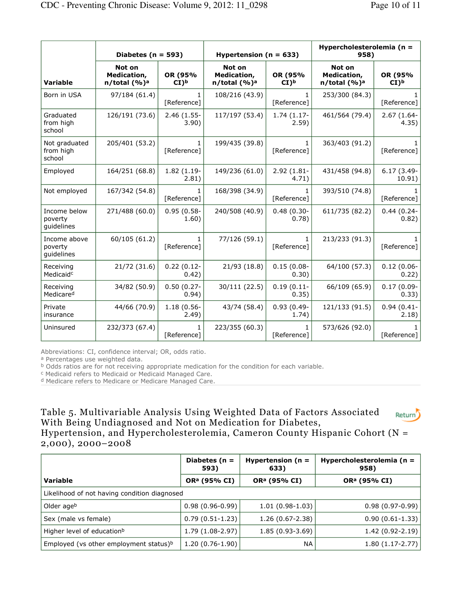|                                       | Diabetes ( $n = 593$ )                      |                            | Hypertension ( $n = 633$ )                        |                            | Hypercholesterolemia (n =<br>958)           |                             |
|---------------------------------------|---------------------------------------------|----------------------------|---------------------------------------------------|----------------------------|---------------------------------------------|-----------------------------|
| <b>Variable</b>                       | Not on<br>Medication,<br>$n$ /total $(%)^a$ | OR (95%<br>CI <sub>b</sub> | Not on<br>Medication,<br>n/total (%) <sup>a</sup> | OR (95%<br>CI <sub>b</sub> | Not on<br>Medication,<br>$n$ /total $(%)^a$ | OR (95%<br>CI) <sub>b</sub> |
| Born in USA                           | 97/184 (61.4)                               | 1.<br>[Reference]          | 108/216 (43.9)                                    | 1.<br>[Reference]          | 253/300 (84.3)                              | [Reference]                 |
| Graduated<br>from high<br>school      | 126/191 (73.6)                              | 2.46 (1.55-<br>3.90)       | 117/197 (53.4)                                    | 1.74 (1.17-<br>2.59)       | 461/564 (79.4)                              | 2.67 (1.64-<br>4.35)        |
| Not graduated<br>from high<br>school  | 205/401 (53.2)                              | [Reference]                | 199/435 (39.8)                                    | 1.<br>[Reference]          | 363/403 (91.2)                              | [Reference]                 |
| Employed                              | 164/251 (68.8)                              | 1.82 (1.19-<br>2.81)       | 149/236 (61.0)                                    | $2.92(1.81 -$<br>4.71)     | 431/458 (94.8)                              | $6.17(3.49 -$<br>10.91)     |
| Not employed                          | 167/342 (54.8)                              | 1.<br>[Reference]          | 168/398 (34.9)                                    | 1<br>[Reference]           | 393/510 (74.8)                              | [Reference]                 |
| Income below<br>poverty<br>quidelines | 271/488 (60.0)                              | $0.95(0.58 -$<br>1.60)     | 240/508 (40.9)                                    | $0.48(0.30 -$<br>0.78)     | 611/735 (82.2)                              | $0.44(0.24-$<br>0.82)       |
| Income above<br>poverty<br>guidelines | 60/105 (61.2)                               | [Reference]                | 77/126 (59.1)                                     | 1<br>[Reference]           | 213/233 (91.3)                              | [Reference]                 |
| Receiving<br>Medicaid <sup>c</sup>    | 21/72 (31.6)                                | $0.22(0.12 -$<br>0.42)     | 21/93 (18.8)                                      | $0.15(0.08 -$<br>0.30)     | 64/100 (57.3)                               | $0.12(0.06 -$<br>0.22)      |
| Receiving<br>Medicared                | 34/82 (50.9)                                | $0.50(0.27 -$<br>0.94)     | 30/111 (22.5)                                     | $0.19(0.11 -$<br>0.35)     | 66/109 (65.9)                               | $0.17(0.09 -$<br>0.33)      |
| Private<br>insurance                  | 44/66 (70.9)                                | $1.18(0.56 -$<br>2.49)     | 43/74 (58.4)                                      | $0.93(0.49 -$<br>1.74)     | 121/133 (91.5)                              | $0.94(0.41 -$<br>2.18)      |
| Uninsured                             | 232/373 (67.4)                              | [Reference]                | 223/355 (60.3)                                    | 1<br>[Reference]           | 573/626 (92.0)                              | [Reference]                 |

Abbreviations: CI, confidence interval; OR, odds ratio.

<sup>a</sup> Percentages use weighted data.

<sup>b</sup> Odds ratios are for not receiving appropriate medication for the condition for each variable.

<sup>c</sup> Medicaid refers to Medicaid or Medicaid Managed Care.

<sup>d</sup> Medicare refers to Medicare or Medicare Managed Care.

#### Table 5. Multivariable Analysis Using Weighted Data of Factors Associated Return<sup>2</sup> With Being Undiagnosed and Not on Medication for Diabetes, Hypertension, and Hypercholesterolemia, Cameron County Hispanic Cohort (N = 2,000), 2000–2008

|                                                    | Diabetes ( $n =$<br>593) | Hypertension ( $n =$<br>633) | Hypercholesterolemia (n =<br>958) |  |  |  |
|----------------------------------------------------|--------------------------|------------------------------|-----------------------------------|--|--|--|
| <b>Variable</b>                                    | OR <sup>a</sup> (95% CI) | OR <sup>a</sup> (95% CI)     | OR <sup>a</sup> (95% CI)          |  |  |  |
| Likelihood of not having condition diagnosed       |                          |                              |                                   |  |  |  |
| Older ageb                                         | $0.98(0.96-0.99)$        | $1.01(0.98-1.03)$            | $0.98(0.97-0.99)$                 |  |  |  |
| Sex (male vs female)                               | $0.79(0.51-1.23)$        | $1.26(0.67-2.38)$            | $0.90(0.61-1.33)$                 |  |  |  |
| Higher level of education <sup>b</sup>             | 1.79 (1.08-2.97)         | $1.85(0.93-3.69)$            | $1.42(0.92-2.19)$                 |  |  |  |
| Employed (vs other employment status) <sup>b</sup> | $1.20(0.76-1.90)$        | <b>NA</b>                    | $1.80(1.17-2.77)$                 |  |  |  |